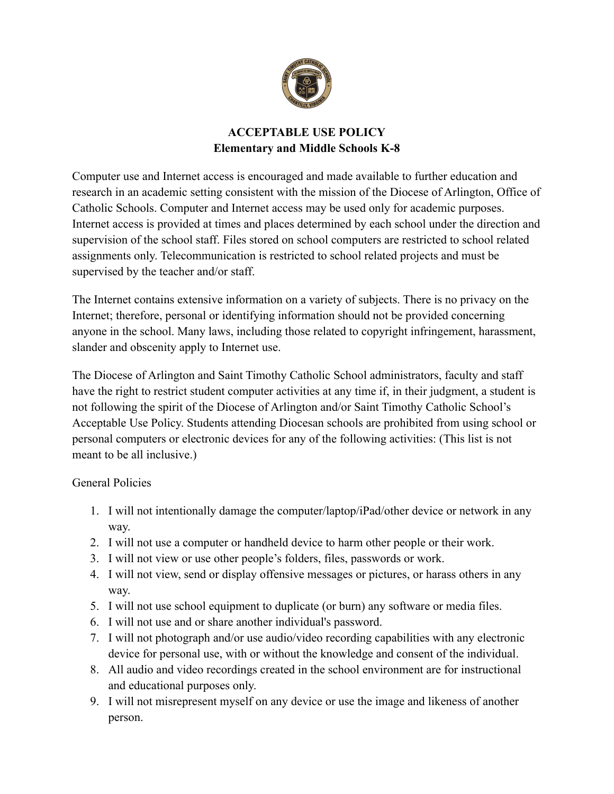

### **ACCEPTABLE USE POLICY Elementary and Middle Schools K-8**

Computer use and Internet access is encouraged and made available to further education and research in an academic setting consistent with the mission of the Diocese of Arlington, Office of Catholic Schools. Computer and Internet access may be used only for academic purposes. Internet access is provided at times and places determined by each school under the direction and supervision of the school staff. Files stored on school computers are restricted to school related assignments only. Telecommunication is restricted to school related projects and must be supervised by the teacher and/or staff.

The Internet contains extensive information on a variety of subjects. There is no privacy on the Internet; therefore, personal or identifying information should not be provided concerning anyone in the school. Many laws, including those related to copyright infringement, harassment, slander and obscenity apply to Internet use.

The Diocese of Arlington and Saint Timothy Catholic School administrators, faculty and staff have the right to restrict student computer activities at any time if, in their judgment, a student is not following the spirit of the Diocese of Arlington and/or Saint Timothy Catholic School's Acceptable Use Policy. Students attending Diocesan schools are prohibited from using school or personal computers or electronic devices for any of the following activities: (This list is not meant to be all inclusive.)

#### General Policies

- 1. I will not intentionally damage the computer/laptop/iPad/other device or network in any way.
- 2. I will not use a computer or handheld device to harm other people or their work.
- 3. I will not view or use other people's folders, files, passwords or work.
- 4. I will not view, send or display offensive messages or pictures, or harass others in any way.
- 5. I will not use school equipment to duplicate (or burn) any software or media files.
- 6. I will not use and or share another individual's password.
- 7. I will not photograph and/or use audio/video recording capabilities with any electronic device for personal use, with or without the knowledge and consent of the individual.
- 8. All audio and video recordings created in the school environment are for instructional and educational purposes only.
- 9. I will not misrepresent myself on any device or use the image and likeness of another person.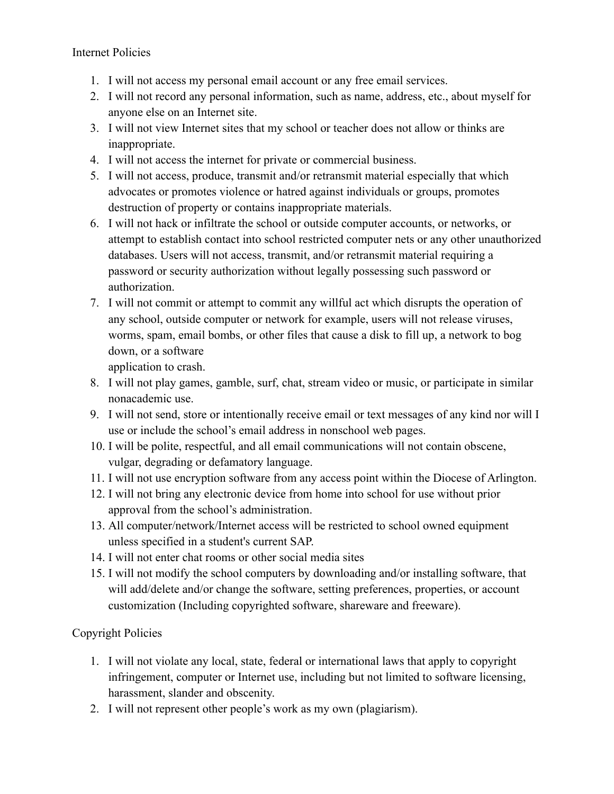Internet Policies

- 1. I will not access my personal email account or any free email services.
- 2. I will not record any personal information, such as name, address, etc., about myself for anyone else on an Internet site.
- 3. I will not view Internet sites that my school or teacher does not allow or thinks are inappropriate.
- 4. I will not access the internet for private or commercial business.
- 5. I will not access, produce, transmit and/or retransmit material especially that which advocates or promotes violence or hatred against individuals or groups, promotes destruction of property or contains inappropriate materials.
- 6. I will not hack or infiltrate the school or outside computer accounts, or networks, or attempt to establish contact into school restricted computer nets or any other unauthorized databases. Users will not access, transmit, and/or retransmit material requiring a password or security authorization without legally possessing such password or authorization.
- 7. I will not commit or attempt to commit any willful act which disrupts the operation of any school, outside computer or network for example, users will not release viruses, worms, spam, email bombs, or other files that cause a disk to fill up, a network to bog down, or a software

application to crash.

- 8. I will not play games, gamble, surf, chat, stream video or music, or participate in similar nonacademic use.
- 9. I will not send, store or intentionally receive email or text messages of any kind nor will I use or include the school's email address in nonschool web pages.
- 10. I will be polite, respectful, and all email communications will not contain obscene, vulgar, degrading or defamatory language.
- 11. I will not use encryption software from any access point within the Diocese of Arlington.
- 12. I will not bring any electronic device from home into school for use without prior approval from the school's administration.
- 13. All computer/network/Internet access will be restricted to school owned equipment unless specified in a student's current SAP.
- 14. I will not enter chat rooms or other social media sites
- 15. I will not modify the school computers by downloading and/or installing software, that will add/delete and/or change the software, setting preferences, properties, or account customization (Including copyrighted software, shareware and freeware).

## Copyright Policies

- 1. I will not violate any local, state, federal or international laws that apply to copyright infringement, computer or Internet use, including but not limited to software licensing, harassment, slander and obscenity.
- 2. I will not represent other people's work as my own (plagiarism).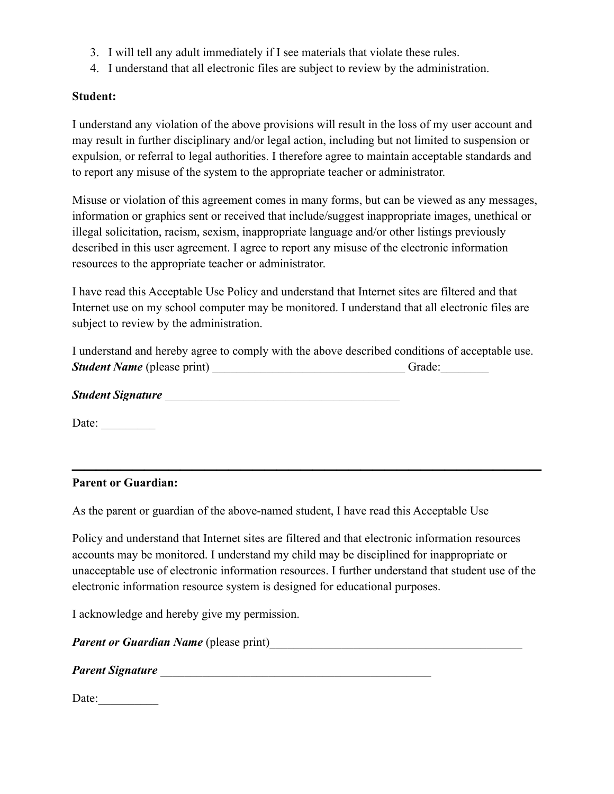- 3. I will tell any adult immediately if I see materials that violate these rules.
- 4. I understand that all electronic files are subject to review by the administration.

#### **Student:**

I understand any violation of the above provisions will result in the loss of my user account and may result in further disciplinary and/or legal action, including but not limited to suspension or expulsion, or referral to legal authorities. I therefore agree to maintain acceptable standards and to report any misuse of the system to the appropriate teacher or administrator.

Misuse or violation of this agreement comes in many forms, but can be viewed as any messages, information or graphics sent or received that include/suggest inappropriate images, unethical or illegal solicitation, racism, sexism, inappropriate language and/or other listings previously described in this user agreement. I agree to report any misuse of the electronic information resources to the appropriate teacher or administrator.

I have read this Acceptable Use Policy and understand that Internet sites are filtered and that Internet use on my school computer may be monitored. I understand that all electronic files are subject to review by the administration.

|                                           | I understand and hereby agree to comply with the above described conditions of acceptable use. |        |  |
|-------------------------------------------|------------------------------------------------------------------------------------------------|--------|--|
| <b><i>Student Name</i></b> (please print) |                                                                                                | Grade: |  |

*Student Signature* \_\_\_\_\_\_\_\_\_\_\_\_\_\_\_\_\_\_\_\_\_\_\_\_\_\_\_\_\_\_\_\_\_\_\_\_\_\_\_

Date: \_\_\_\_\_\_\_\_\_

#### **Parent or Guardian:**

As the parent or guardian of the above-named student, I have read this Acceptable Use

Policy and understand that Internet sites are filtered and that electronic information resources accounts may be monitored. I understand my child may be disciplined for inappropriate or unacceptable use of electronic information resources. I further understand that student use of the electronic information resource system is designed for educational purposes.

**\_\_\_\_\_\_\_\_\_\_\_\_\_\_\_\_\_\_\_\_\_\_\_\_\_\_\_\_\_\_\_\_\_\_\_\_\_\_\_**

I acknowledge and hereby give my permission.

| <b>Parent or Guardian Name</b> (please print) |  |  |  |
|-----------------------------------------------|--|--|--|
|-----------------------------------------------|--|--|--|

*Parent Signature* \_\_\_\_\_\_\_\_\_\_\_\_\_\_\_\_\_\_\_\_\_\_\_\_\_\_\_\_\_\_\_\_\_\_\_\_\_\_\_\_\_\_\_\_\_